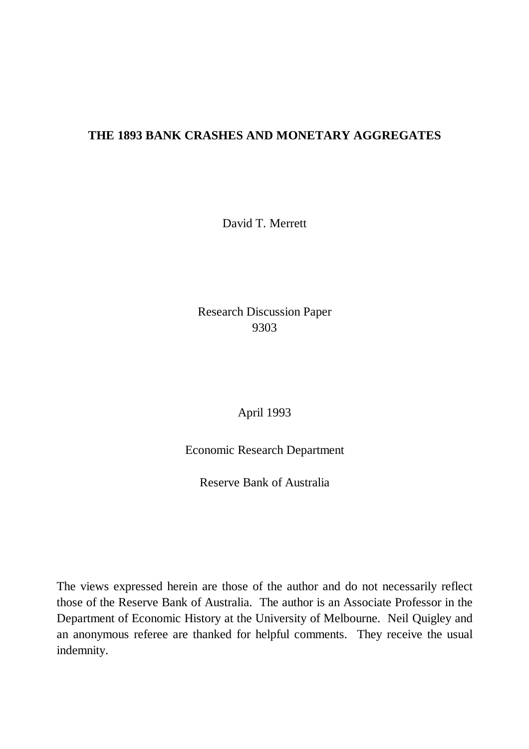### **THE 1893 BANK CRASHES AND MONETARY AGGREGATES**

David T. Merrett

Research Discussion Paper 9303

April 1993

Economic Research Department

Reserve Bank of Australia

The views expressed herein are those of the author and do not necessarily reflect those of the Reserve Bank of Australia. The author is an Associate Professor in the Department of Economic History at the University of Melbourne. Neil Quigley and an anonymous referee are thanked for helpful comments. They receive the usual indemnity.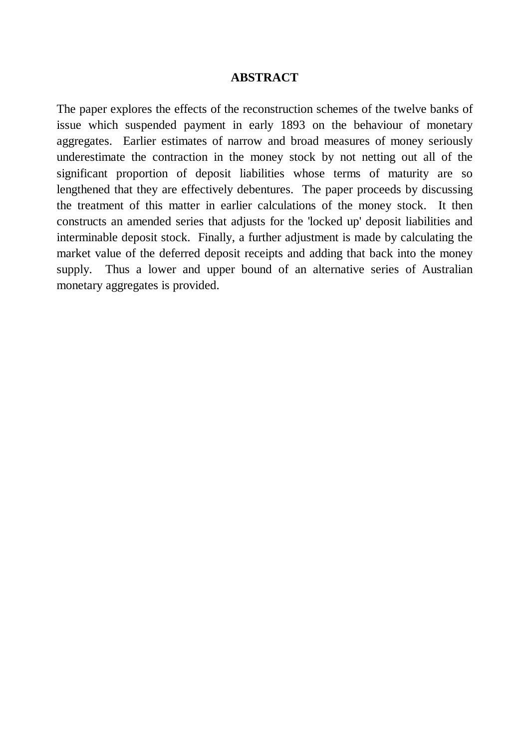#### **ABSTRACT**

The paper explores the effects of the reconstruction schemes of the twelve banks of issue which suspended payment in early 1893 on the behaviour of monetary aggregates. Earlier estimates of narrow and broad measures of money seriously underestimate the contraction in the money stock by not netting out all of the significant proportion of deposit liabilities whose terms of maturity are so lengthened that they are effectively debentures. The paper proceeds by discussing the treatment of this matter in earlier calculations of the money stock. It then constructs an amended series that adjusts for the 'locked up' deposit liabilities and interminable deposit stock. Finally, a further adjustment is made by calculating the market value of the deferred deposit receipts and adding that back into the money supply. Thus a lower and upper bound of an alternative series of Australian monetary aggregates is provided.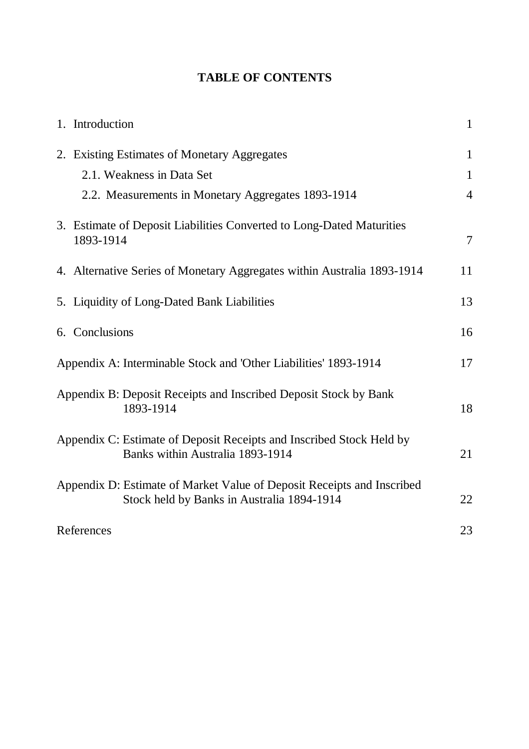# **TABLE OF CONTENTS**

| 1. Introduction                                                                                                      | $\mathbf{1}$   |
|----------------------------------------------------------------------------------------------------------------------|----------------|
| 2. Existing Estimates of Monetary Aggregates                                                                         | $\mathbf{1}$   |
| 2.1. Weakness in Data Set                                                                                            | $\mathbf{1}$   |
| 2.2. Measurements in Monetary Aggregates 1893-1914                                                                   | $\overline{4}$ |
| 3. Estimate of Deposit Liabilities Converted to Long-Dated Maturities<br>1893-1914                                   | $\overline{7}$ |
| 4. Alternative Series of Monetary Aggregates within Australia 1893-1914                                              | 11             |
| 5. Liquidity of Long-Dated Bank Liabilities                                                                          | 13             |
| 6. Conclusions                                                                                                       | 16             |
| Appendix A: Interminable Stock and 'Other Liabilities' 1893-1914                                                     | 17             |
| Appendix B: Deposit Receipts and Inscribed Deposit Stock by Bank<br>1893-1914                                        | 18             |
| Appendix C: Estimate of Deposit Receipts and Inscribed Stock Held by<br>Banks within Australia 1893-1914             | 21             |
| Appendix D: Estimate of Market Value of Deposit Receipts and Inscribed<br>Stock held by Banks in Australia 1894-1914 | 22             |
| References                                                                                                           | 23             |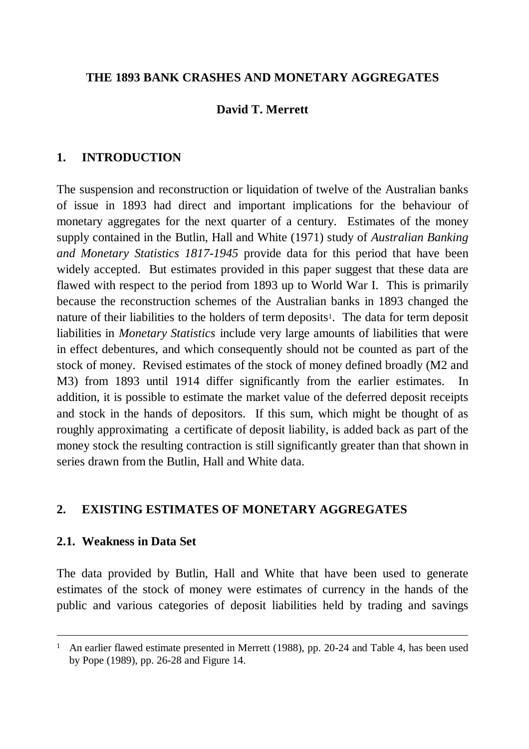### **THE 1893 BANK CRASHES AND MONETARY AGGREGATES**

# **David T. Merrett**

## **1. INTRODUCTION**

The suspension and reconstruction or liquidation of twelve of the Australian banks of issue in 1893 had direct and important implications for the behaviour of monetary aggregates for the next quarter of a century. Estimates of the money supply contained in the Butlin, Hall and White (1971) study of *Australian Banking and Monetary Statistics 1817-1945* provide data for this period that have been widely accepted. But estimates provided in this paper suggest that these data are flawed with respect to the period from 1893 up to World War I. This is primarily because the reconstruction schemes of the Australian banks in 1893 changed the nature of their liabilities to the holders of term deposits<sup>1</sup>. The data for term deposit liabilities in *Monetary Statistics* include very large amounts of liabilities that were in effect debentures, and which consequently should not be counted as part of the stock of money. Revised estimates of the stock of money defined broadly (M2 and M3) from 1893 until 1914 differ significantly from the earlier estimates. In addition, it is possible to estimate the market value of the deferred deposit receipts and stock in the hands of depositors. If this sum, which might be thought of as roughly approximating a certificate of deposit liability, is added back as part of the money stock the resulting contraction is still significantly greater than that shown in series drawn from the Butlin, Hall and White data.

## **2. EXISTING ESTIMATES OF MONETARY AGGREGATES**

### **2.1. Weakness in Data Set**

 $\overline{a}$ 

The data provided by Butlin, Hall and White that have been used to generate estimates of the stock of money were estimates of currency in the hands of the public and various categories of deposit liabilities held by trading and savings

<sup>&</sup>lt;sup>1</sup> An earlier flawed estimate presented in Merrett (1988), pp. 20-24 and Table 4, has been used by Pope (1989), pp. 26-28 and Figure 14.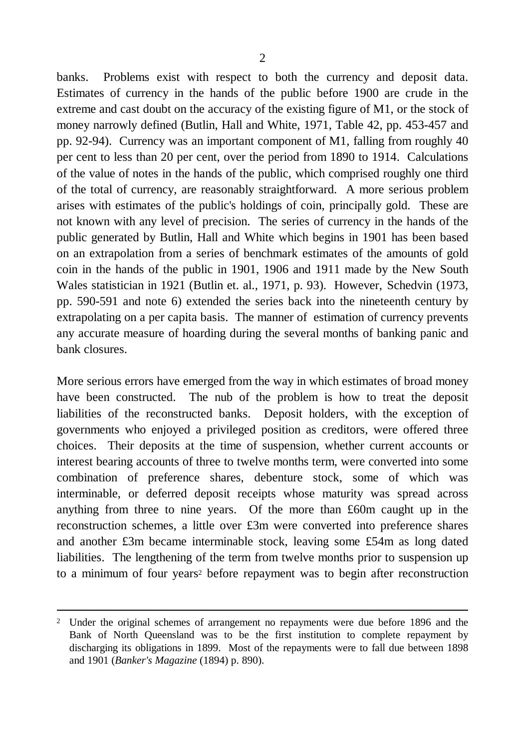banks. Problems exist with respect to both the currency and deposit data. Estimates of currency in the hands of the public before 1900 are crude in the extreme and cast doubt on the accuracy of the existing figure of M1, or the stock of money narrowly defined (Butlin, Hall and White, 1971, Table 42, pp. 453-457 and pp. 92-94). Currency was an important component of M1, falling from roughly 40 per cent to less than 20 per cent, over the period from 1890 to 1914. Calculations of the value of notes in the hands of the public, which comprised roughly one third of the total of currency, are reasonably straightforward. A more serious problem arises with estimates of the public's holdings of coin, principally gold. These are not known with any level of precision. The series of currency in the hands of the public generated by Butlin, Hall and White which begins in 1901 has been based on an extrapolation from a series of benchmark estimates of the amounts of gold coin in the hands of the public in 1901, 1906 and 1911 made by the New South Wales statistician in 1921 (Butlin et. al., 1971, p. 93). However, Schedvin (1973, pp. 590-591 and note 6) extended the series back into the nineteenth century by extrapolating on a per capita basis. The manner of estimation of currency prevents any accurate measure of hoarding during the several months of banking panic and bank closures.

More serious errors have emerged from the way in which estimates of broad money have been constructed. The nub of the problem is how to treat the deposit liabilities of the reconstructed banks. Deposit holders, with the exception of governments who enjoyed a privileged position as creditors, were offered three choices. Their deposits at the time of suspension, whether current accounts or interest bearing accounts of three to twelve months term, were converted into some combination of preference shares, debenture stock, some of which was interminable, or deferred deposit receipts whose maturity was spread across anything from three to nine years. Of the more than £60m caught up in the reconstruction schemes, a little over £3m were converted into preference shares and another £3m became interminable stock, leaving some £54m as long dated liabilities. The lengthening of the term from twelve months prior to suspension up to a minimum of four years<sup>2</sup> before repayment was to begin after reconstruction

 $\overline{a}$ 

<sup>&</sup>lt;sup>2</sup> Under the original schemes of arrangement no repayments were due before 1896 and the Bank of North Queensland was to be the first institution to complete repayment by discharging its obligations in 1899. Most of the repayments were to fall due between 1898 and 1901 (*Banker's Magazine* (1894) p. 890).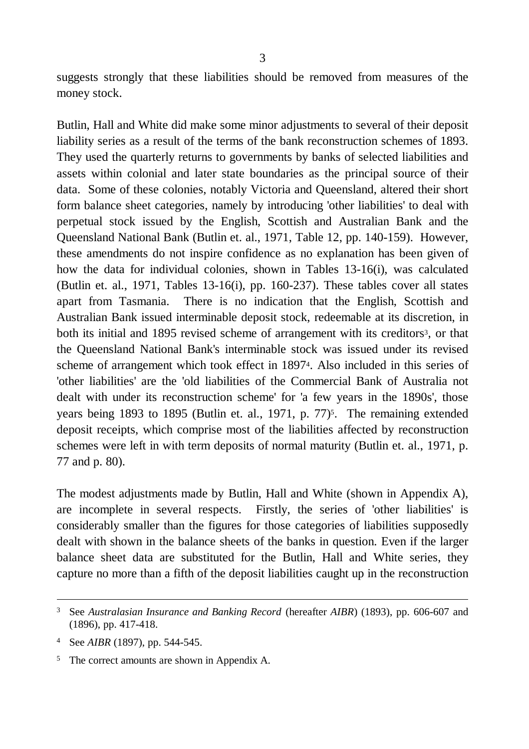suggests strongly that these liabilities should be removed from measures of the money stock.

Butlin, Hall and White did make some minor adjustments to several of their deposit liability series as a result of the terms of the bank reconstruction schemes of 1893. They used the quarterly returns to governments by banks of selected liabilities and assets within colonial and later state boundaries as the principal source of their data. Some of these colonies, notably Victoria and Queensland, altered their short form balance sheet categories, namely by introducing 'other liabilities' to deal with perpetual stock issued by the English, Scottish and Australian Bank and the Queensland National Bank (Butlin et. al., 1971, Table 12, pp. 140-159). However, these amendments do not inspire confidence as no explanation has been given of how the data for individual colonies, shown in Tables 13-16(i), was calculated (Butlin et. al., 1971, Tables 13-16(i), pp. 160-237). These tables cover all states apart from Tasmania. There is no indication that the English, Scottish and Australian Bank issued interminable deposit stock, redeemable at its discretion, in both its initial and 1895 revised scheme of arrangement with its creditors<sup>3</sup>, or that the Queensland National Bank's interminable stock was issued under its revised scheme of arrangement which took effect in 1897<sup>4</sup> . Also included in this series of 'other liabilities' are the 'old liabilities of the Commercial Bank of Australia not dealt with under its reconstruction scheme' for 'a few years in the 1890s', those years being 1893 to 1895 (Butlin et. al., 1971, p. 77)<sup>5</sup>. The remaining extended deposit receipts, which comprise most of the liabilities affected by reconstruction schemes were left in with term deposits of normal maturity (Butlin et. al., 1971, p. 77 and p. 80).

The modest adjustments made by Butlin, Hall and White (shown in Appendix A), are incomplete in several respects. Firstly, the series of 'other liabilities' is considerably smaller than the figures for those categories of liabilities supposedly dealt with shown in the balance sheets of the banks in question. Even if the larger balance sheet data are substituted for the Butlin, Hall and White series, they capture no more than a fifth of the deposit liabilities caught up in the reconstruction

 $\overline{a}$ 

<sup>3</sup> See *Australasian Insurance and Banking Record* (hereafter *AIBR*) (1893), pp. 606-607 and (1896), pp. 417-418.

<sup>4</sup> See *AIBR* (1897), pp. 544-545.

<sup>&</sup>lt;sup>5</sup> The correct amounts are shown in Appendix A.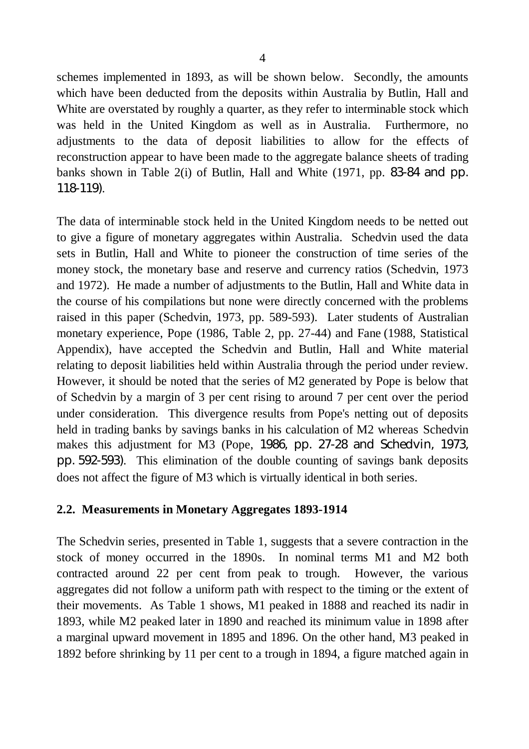schemes implemented in 1893, as will be shown below. Secondly, the amounts which have been deducted from the deposits within Australia by Butlin, Hall and White are overstated by roughly a quarter, as they refer to interminable stock which was held in the United Kingdom as well as in Australia. Furthermore, no adjustments to the data of deposit liabilities to allow for the effects of reconstruction appear to have been made to the aggregate balance sheets of trading banks shown in Table 2(i) of Butlin, Hall and White (1971, pp. 83-84 and pp. 118-119).

The data of interminable stock held in the United Kingdom needs to be netted out to give a figure of monetary aggregates within Australia. Schedvin used the data sets in Butlin, Hall and White to pioneer the construction of time series of the money stock, the monetary base and reserve and currency ratios (Schedvin, 1973 and 1972). He made a number of adjustments to the Butlin, Hall and White data in the course of his compilations but none were directly concerned with the problems raised in this paper (Schedvin, 1973, pp. 589-593). Later students of Australian monetary experience, Pope (1986, Table 2, pp. 27-44) and Fane (1988, Statistical Appendix), have accepted the Schedvin and Butlin, Hall and White material relating to deposit liabilities held within Australia through the period under review. However, it should be noted that the series of M2 generated by Pope is below that of Schedvin by a margin of 3 per cent rising to around 7 per cent over the period under consideration. This divergence results from Pope's netting out of deposits held in trading banks by savings banks in his calculation of M2 whereas Schedvin makes this adjustment for M3 (Pope, 1986, pp. 27-28 and Schedvin, 1973, pp. 592-593). This elimination of the double counting of savings bank deposits does not affect the figure of M3 which is virtually identical in both series.

### **2.2. Measurements in Monetary Aggregates 1893-1914**

The Schedvin series, presented in Table 1, suggests that a severe contraction in the stock of money occurred in the 1890s. In nominal terms M1 and M2 both contracted around 22 per cent from peak to trough. However, the various aggregates did not follow a uniform path with respect to the timing or the extent of their movements. As Table 1 shows, M1 peaked in 1888 and reached its nadir in 1893, while M2 peaked later in 1890 and reached its minimum value in 1898 after a marginal upward movement in 1895 and 1896. On the other hand, M3 peaked in 1892 before shrinking by 11 per cent to a trough in 1894, a figure matched again in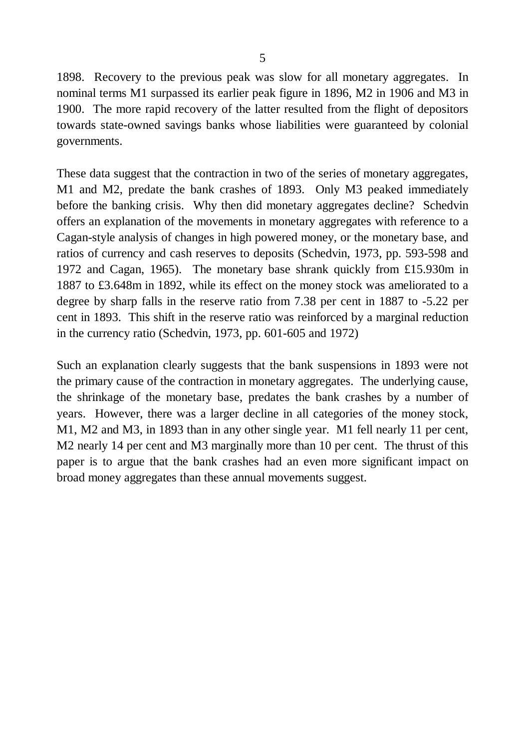1898. Recovery to the previous peak was slow for all monetary aggregates. In nominal terms M1 surpassed its earlier peak figure in 1896, M2 in 1906 and M3 in 1900. The more rapid recovery of the latter resulted from the flight of depositors towards state-owned savings banks whose liabilities were guaranteed by colonial governments.

These data suggest that the contraction in two of the series of monetary aggregates, M1 and M2, predate the bank crashes of 1893. Only M3 peaked immediately before the banking crisis. Why then did monetary aggregates decline? Schedvin offers an explanation of the movements in monetary aggregates with reference to a Cagan-style analysis of changes in high powered money, or the monetary base, and ratios of currency and cash reserves to deposits (Schedvin, 1973, pp. 593-598 and 1972 and Cagan, 1965). The monetary base shrank quickly from £15.930m in 1887 to £3.648m in 1892, while its effect on the money stock was ameliorated to a degree by sharp falls in the reserve ratio from 7.38 per cent in 1887 to -5.22 per cent in 1893. This shift in the reserve ratio was reinforced by a marginal reduction in the currency ratio (Schedvin, 1973, pp. 601-605 and 1972)

Such an explanation clearly suggests that the bank suspensions in 1893 were not the primary cause of the contraction in monetary aggregates. The underlying cause, the shrinkage of the monetary base, predates the bank crashes by a number of years. However, there was a larger decline in all categories of the money stock, M1, M2 and M3, in 1893 than in any other single year. M1 fell nearly 11 per cent, M2 nearly 14 per cent and M3 marginally more than 10 per cent. The thrust of this paper is to argue that the bank crashes had an even more significant impact on broad money aggregates than these annual movements suggest.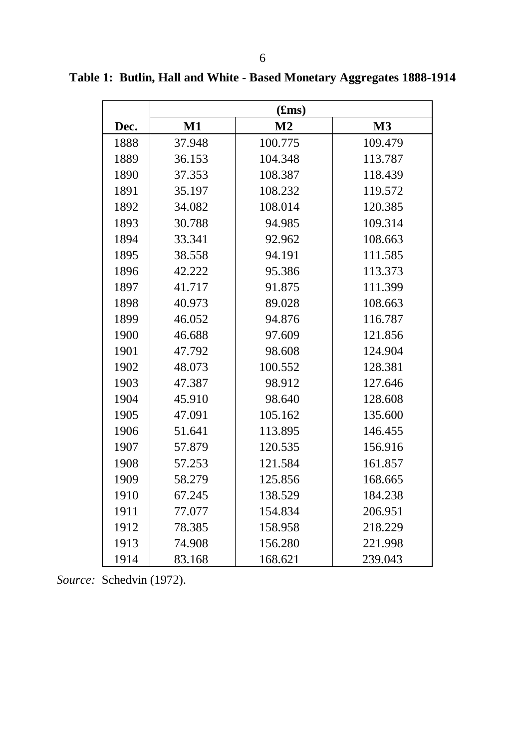|      |        | (fims)         |         |
|------|--------|----------------|---------|
| Dec. | M1     | M <sub>2</sub> | M3      |
| 1888 | 37.948 | 100.775        | 109.479 |
| 1889 | 36.153 | 104.348        | 113.787 |
| 1890 | 37.353 | 108.387        | 118.439 |
| 1891 | 35.197 | 108.232        | 119.572 |
| 1892 | 34.082 | 108.014        | 120.385 |
| 1893 | 30.788 | 94.985         | 109.314 |
| 1894 | 33.341 | 92.962         | 108.663 |
| 1895 | 38.558 | 94.191         | 111.585 |
| 1896 | 42.222 | 95.386         | 113.373 |
| 1897 | 41.717 | 91.875         | 111.399 |
| 1898 | 40.973 | 89.028         | 108.663 |
| 1899 | 46.052 | 94.876         | 116.787 |
| 1900 | 46.688 | 97.609         | 121.856 |
| 1901 | 47.792 | 98.608         | 124.904 |
| 1902 | 48.073 | 100.552        | 128.381 |
| 1903 | 47.387 | 98.912         | 127.646 |
| 1904 | 45.910 | 98.640         | 128.608 |
| 1905 | 47.091 | 105.162        | 135.600 |
| 1906 | 51.641 | 113.895        | 146.455 |
| 1907 | 57.879 | 120.535        | 156.916 |
| 1908 | 57.253 | 121.584        | 161.857 |
| 1909 | 58.279 | 125.856        | 168.665 |
| 1910 | 67.245 | 138.529        | 184.238 |
| 1911 | 77.077 | 154.834        | 206.951 |
| 1912 | 78.385 | 158.958        | 218.229 |
| 1913 | 74.908 | 156.280        | 221.998 |
| 1914 | 83.168 | 168.621        | 239.043 |

**Table 1: Butlin, Hall and White - Based Monetary Aggregates 1888-1914**

*Source:* Schedvin (1972).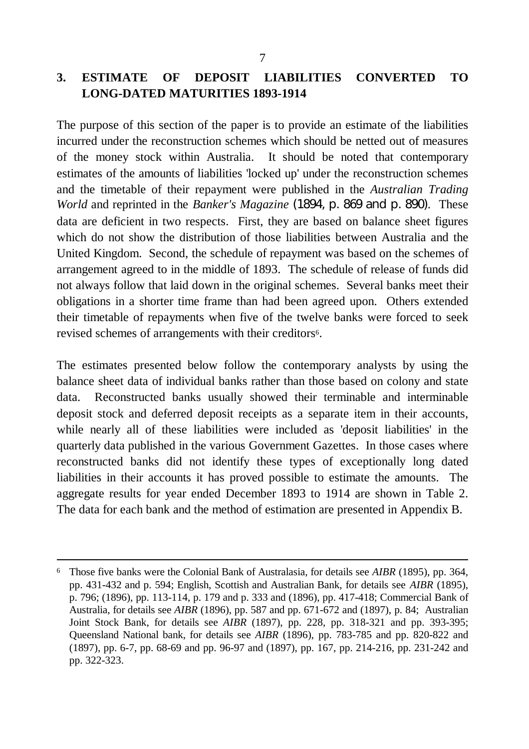## **3. ESTIMATE OF DEPOSIT LIABILITIES CONVERTED TO LONG-DATED MATURITIES 1893-1914**

The purpose of this section of the paper is to provide an estimate of the liabilities incurred under the reconstruction schemes which should be netted out of measures of the money stock within Australia. It should be noted that contemporary estimates of the amounts of liabilities 'locked up' under the reconstruction schemes and the timetable of their repayment were published in the *Australian Trading World* and reprinted in the *Banker's Magazine* (1894, p. 869 and p. 890). These data are deficient in two respects. First, they are based on balance sheet figures which do not show the distribution of those liabilities between Australia and the United Kingdom. Second, the schedule of repayment was based on the schemes of arrangement agreed to in the middle of 1893. The schedule of release of funds did not always follow that laid down in the original schemes. Several banks meet their obligations in a shorter time frame than had been agreed upon. Others extended their timetable of repayments when five of the twelve banks were forced to seek revised schemes of arrangements with their creditors<sup>6</sup>.

The estimates presented below follow the contemporary analysts by using the balance sheet data of individual banks rather than those based on colony and state data. Reconstructed banks usually showed their terminable and interminable deposit stock and deferred deposit receipts as a separate item in their accounts, while nearly all of these liabilities were included as 'deposit liabilities' in the quarterly data published in the various Government Gazettes. In those cases where reconstructed banks did not identify these types of exceptionally long dated liabilities in their accounts it has proved possible to estimate the amounts. The aggregate results for year ended December 1893 to 1914 are shown in Table 2. The data for each bank and the method of estimation are presented in Appendix B.

 $\overline{a}$ 

<sup>6</sup> Those five banks were the Colonial Bank of Australasia, for details see *AIBR* (1895), pp. 364, pp. 431-432 and p. 594; English, Scottish and Australian Bank, for details see *AIBR* (1895), p. 796; (1896), pp. 113-114, p. 179 and p. 333 and (1896), pp. 417-418; Commercial Bank of Australia, for details see *AIBR* (1896), pp. 587 and pp. 671-672 and (1897), p. 84; Australian Joint Stock Bank, for details see *AIBR* (1897), pp. 228, pp. 318-321 and pp. 393-395; Queensland National bank, for details see *AIBR* (1896), pp. 783-785 and pp. 820-822 and (1897), pp. 6-7, pp. 68-69 and pp. 96-97 and (1897), pp. 167, pp. 214-216, pp. 231-242 and pp. 322-323.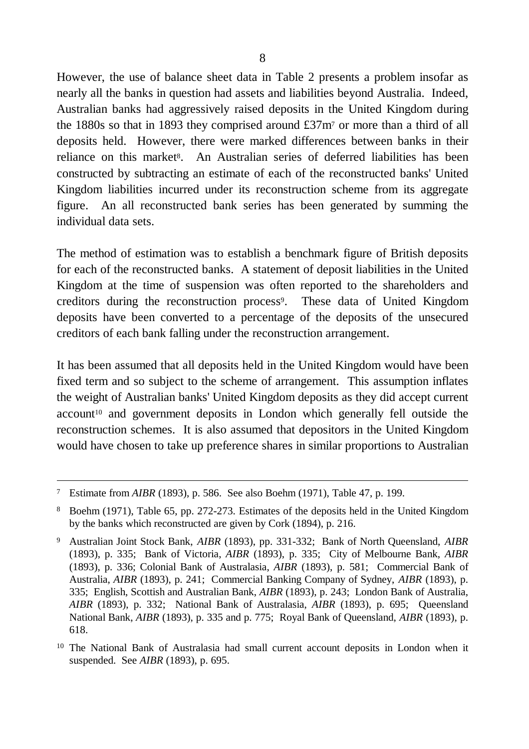However, the use of balance sheet data in Table 2 presents a problem insofar as nearly all the banks in question had assets and liabilities beyond Australia. Indeed, Australian banks had aggressively raised deposits in the United Kingdom during the 1880s so that in 1893 they comprised around £37m<sup>7</sup> or more than a third of all deposits held. However, there were marked differences between banks in their reliance on this market<sup>8</sup>. An Australian series of deferred liabilities has been constructed by subtracting an estimate of each of the reconstructed banks' United Kingdom liabilities incurred under its reconstruction scheme from its aggregate figure. An all reconstructed bank series has been generated by summing the individual data sets.

The method of estimation was to establish a benchmark figure of British deposits for each of the reconstructed banks. A statement of deposit liabilities in the United Kingdom at the time of suspension was often reported to the shareholders and creditors during the reconstruction process<sup>9</sup>. These data of United Kingdom deposits have been converted to a percentage of the deposits of the unsecured creditors of each bank falling under the reconstruction arrangement.

It has been assumed that all deposits held in the United Kingdom would have been fixed term and so subject to the scheme of arrangement. This assumption inflates the weight of Australian banks' United Kingdom deposits as they did accept current account<sup>10</sup> and government deposits in London which generally fell outside the reconstruction schemes. It is also assumed that depositors in the United Kingdom would have chosen to take up preference shares in similar proportions to Australian

 $\overline{a}$ 

<sup>7</sup> Estimate from *AIBR* (1893), p. 586. See also Boehm (1971), Table 47, p. 199.

<sup>8</sup> Boehm (1971), Table 65, pp. 272-273. Estimates of the deposits held in the United Kingdom by the banks which reconstructed are given by Cork (1894), p. 216.

<sup>9</sup> Australian Joint Stock Bank, *AIBR* (1893), pp. 331-332; Bank of North Queensland, *AIBR* (1893), p. 335; Bank of Victoria, *AIBR* (1893), p. 335; City of Melbourne Bank, *AIBR* (1893), p. 336; Colonial Bank of Australasia, *AIBR* (1893), p. 581; Commercial Bank of Australia, *AIBR* (1893), p. 241; Commercial Banking Company of Sydney, *AIBR* (1893), p. 335; English, Scottish and Australian Bank, *AIBR* (1893), p. 243; London Bank of Australia, *AIBR* (1893), p. 332; National Bank of Australasia, *AIBR* (1893), p. 695; Queensland National Bank, *AIBR* (1893), p. 335 and p. 775; Royal Bank of Queensland, *AIBR* (1893), p. 618.

<sup>10</sup> The National Bank of Australasia had small current account deposits in London when it suspended. See *AIBR* (1893), p. 695.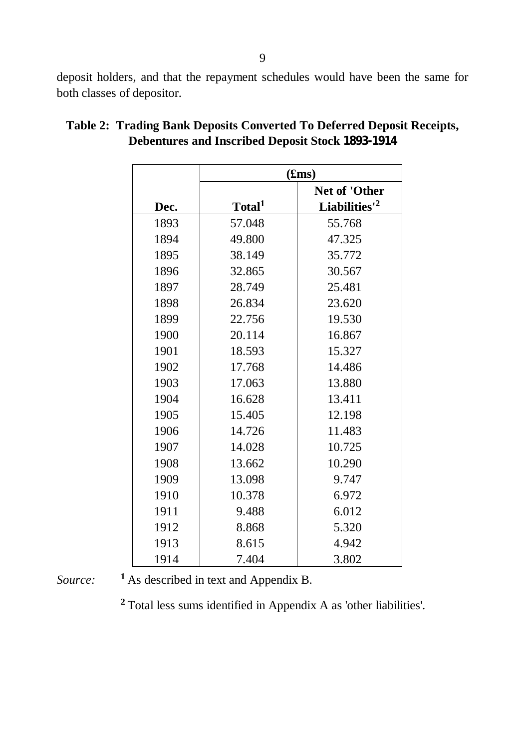deposit holders, and that the repayment schedules would have been the same for both classes of depositor.

|      |                    | (fims)                    |
|------|--------------------|---------------------------|
|      |                    | <b>Net of 'Other</b>      |
| Dec. | Total <sup>1</sup> | Liabilities' <sup>2</sup> |
| 1893 | 57.048             | 55.768                    |
| 1894 | 49.800             | 47.325                    |
| 1895 | 38.149             | 35.772                    |
| 1896 | 32.865             | 30.567                    |
| 1897 | 28.749             | 25.481                    |
| 1898 | 26.834             | 23.620                    |
| 1899 | 22.756             | 19.530                    |
| 1900 | 20.114             | 16.867                    |
| 1901 | 18.593             | 15.327                    |
| 1902 | 17.768             | 14.486                    |
| 1903 | 17.063             | 13.880                    |
| 1904 | 16.628             | 13.411                    |
| 1905 | 15.405             | 12.198                    |
| 1906 | 14.726             | 11.483                    |
| 1907 | 14.028             | 10.725                    |
| 1908 | 13.662             | 10.290                    |
| 1909 | 13.098             | 9.747                     |
| 1910 | 10.378             | 6.972                     |
| 1911 | 9.488              | 6.012                     |
| 1912 | 8.868              | 5.320                     |
| 1913 | 8.615              | 4.942                     |
| 1914 | 7.404              | 3.802                     |

# **Table 2: Trading Bank Deposits Converted To Deferred Deposit Receipts, Debentures and Inscribed Deposit Stock 1893-1914**

*Source:* **<sup>1</sup>**As described in text and Appendix B.

**<sup>2</sup>**Total less sums identified in Appendix A as 'other liabilities'.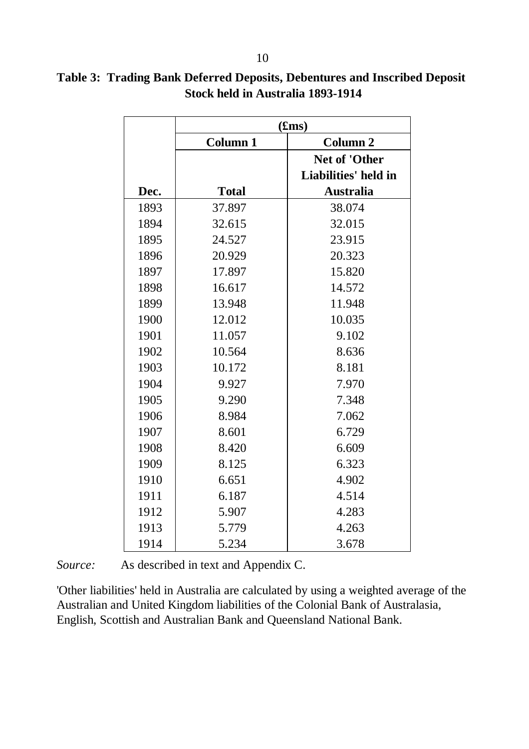|      |                 | (fims)               |
|------|-----------------|----------------------|
|      | <b>Column 1</b> | <b>Column 2</b>      |
|      |                 | Net of 'Other        |
|      |                 | Liabilities' held in |
| Dec. | <b>Total</b>    | <b>Australia</b>     |
| 1893 | 37.897          | 38.074               |
| 1894 | 32.615          | 32.015               |
| 1895 | 24.527          | 23.915               |
| 1896 | 20.929          | 20.323               |
| 1897 | 17.897          | 15.820               |
| 1898 | 16.617          | 14.572               |
| 1899 | 13.948          | 11.948               |
| 1900 | 12.012          | 10.035               |
| 1901 | 11.057          | 9.102                |
| 1902 | 10.564          | 8.636                |
| 1903 | 10.172          | 8.181                |
| 1904 | 9.927           | 7.970                |
| 1905 | 9.290           | 7.348                |
| 1906 | 8.984           | 7.062                |
| 1907 | 8.601           | 6.729                |
| 1908 | 8.420           | 6.609                |
| 1909 | 8.125           | 6.323                |
| 1910 | 6.651           | 4.902                |
| 1911 | 6.187           | 4.514                |
| 1912 | 5.907           | 4.283                |
| 1913 | 5.779           | 4.263                |
| 1914 | 5.234           | 3.678                |

# **Table 3: Trading Bank Deferred Deposits, Debentures and Inscribed Deposit Stock held in Australia 1893-1914**

*Source:* As described in text and Appendix C.

'Other liabilities' held in Australia are calculated by using a weighted average of the Australian and United Kingdom liabilities of the Colonial Bank of Australasia, English, Scottish and Australian Bank and Queensland National Bank.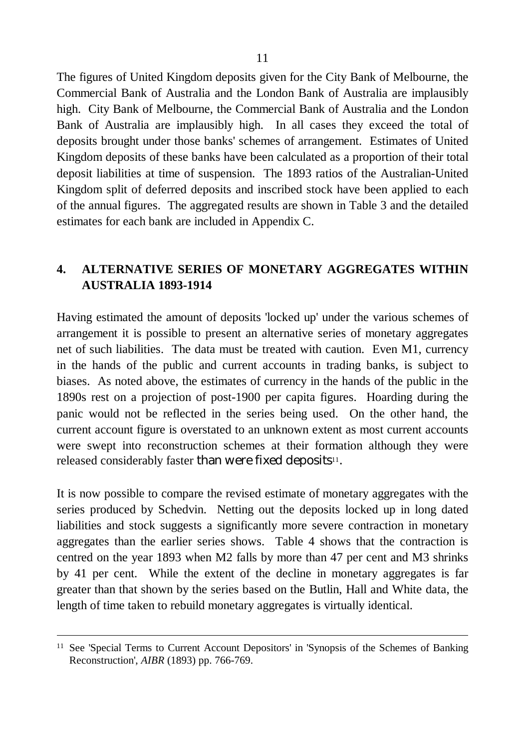The figures of United Kingdom deposits given for the City Bank of Melbourne, the Commercial Bank of Australia and the London Bank of Australia are implausibly high. City Bank of Melbourne, the Commercial Bank of Australia and the London Bank of Australia are implausibly high. In all cases they exceed the total of deposits brought under those banks' schemes of arrangement. Estimates of United Kingdom deposits of these banks have been calculated as a proportion of their total deposit liabilities at time of suspension. The 1893 ratios of the Australian-United Kingdom split of deferred deposits and inscribed stock have been applied to each of the annual figures. The aggregated results are shown in Table 3 and the detailed estimates for each bank are included in Appendix C.

# **4. ALTERNATIVE SERIES OF MONETARY AGGREGATES WITHIN AUSTRALIA 1893-1914**

Having estimated the amount of deposits 'locked up' under the various schemes of arrangement it is possible to present an alternative series of monetary aggregates net of such liabilities. The data must be treated with caution. Even M1, currency in the hands of the public and current accounts in trading banks, is subject to biases. As noted above, the estimates of currency in the hands of the public in the 1890s rest on a projection of post-1900 per capita figures. Hoarding during the panic would not be reflected in the series being used. On the other hand, the current account figure is overstated to an unknown extent as most current accounts were swept into reconstruction schemes at their formation although they were released considerably faster than were fixed deposits<sup>11</sup>.

It is now possible to compare the revised estimate of monetary aggregates with the series produced by Schedvin. Netting out the deposits locked up in long dated liabilities and stock suggests a significantly more severe contraction in monetary aggregates than the earlier series shows. Table 4 shows that the contraction is centred on the year 1893 when M2 falls by more than 47 per cent and M3 shrinks by 41 per cent. While the extent of the decline in monetary aggregates is far greater than that shown by the series based on the Butlin, Hall and White data, the length of time taken to rebuild monetary aggregates is virtually identical.

 $\overline{a}$ 

<sup>11</sup> See 'Special Terms to Current Account Depositors' in 'Synopsis of the Schemes of Banking Reconstruction', *AIBR* (1893) pp. 766-769.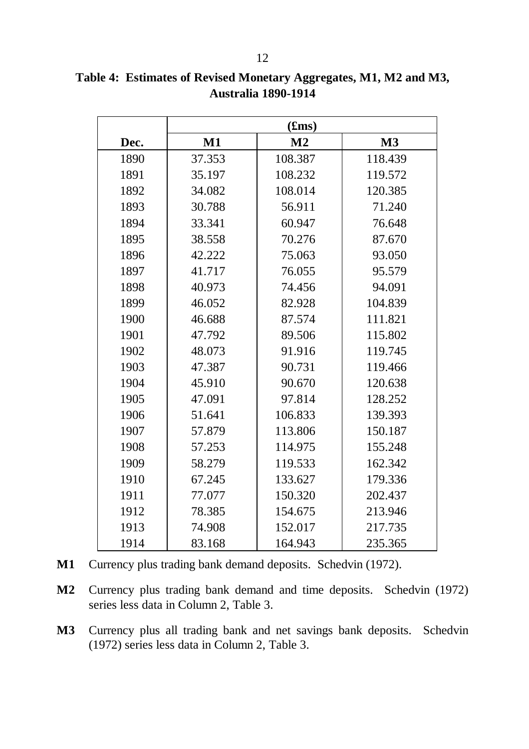|      |        | (fims)         |         |
|------|--------|----------------|---------|
| Dec. | $M1$   | M <sub>2</sub> | M3      |
| 1890 | 37.353 | 108.387        | 118.439 |
| 1891 | 35.197 | 108.232        | 119.572 |
| 1892 | 34.082 | 108.014        | 120.385 |
| 1893 | 30.788 | 56.911         | 71.240  |
| 1894 | 33.341 | 60.947         | 76.648  |
| 1895 | 38.558 | 70.276         | 87.670  |
| 1896 | 42.222 | 75.063         | 93.050  |
| 1897 | 41.717 | 76.055         | 95.579  |
| 1898 | 40.973 | 74.456         | 94.091  |
| 1899 | 46.052 | 82.928         | 104.839 |
| 1900 | 46.688 | 87.574         | 111.821 |
| 1901 | 47.792 | 89.506         | 115.802 |
| 1902 | 48.073 | 91.916         | 119.745 |
| 1903 | 47.387 | 90.731         | 119.466 |
| 1904 | 45.910 | 90.670         | 120.638 |
| 1905 | 47.091 | 97.814         | 128.252 |
| 1906 | 51.641 | 106.833        | 139.393 |
| 1907 | 57.879 | 113.806        | 150.187 |
| 1908 | 57.253 | 114.975        | 155.248 |
| 1909 | 58.279 | 119.533        | 162.342 |
| 1910 | 67.245 | 133.627        | 179.336 |
| 1911 | 77.077 | 150.320        | 202.437 |
| 1912 | 78.385 | 154.675        | 213.946 |
| 1913 | 74.908 | 152.017        | 217.735 |
| 1914 | 83.168 | 164.943        | 235.365 |

**Table 4: Estimates of Revised Monetary Aggregates, M1, M2 and M3, Australia 1890-1914**

- **M1** Currency plus trading bank demand deposits. Schedvin (1972).
- **M2** Currency plus trading bank demand and time deposits. Schedvin (1972) series less data in Column 2, Table 3.
- **M3** Currency plus all trading bank and net savings bank deposits. Schedvin (1972) series less data in Column 2, Table 3.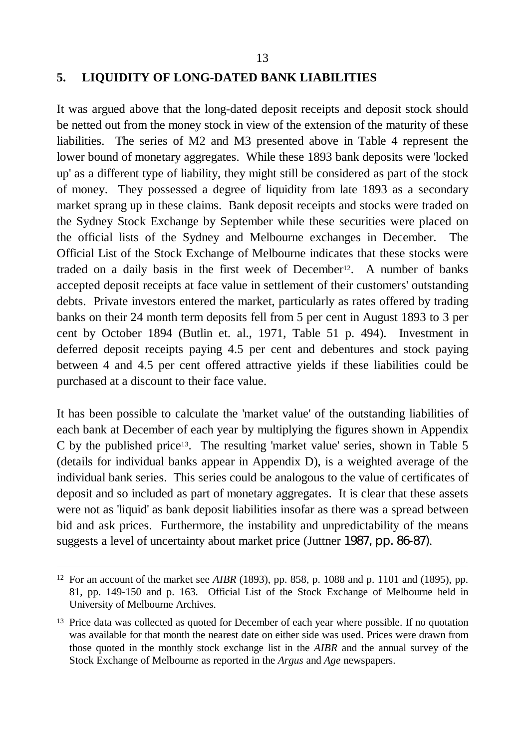#### **5. LIQUIDITY OF LONG-DATED BANK LIABILITIES**

It was argued above that the long-dated deposit receipts and deposit stock should be netted out from the money stock in view of the extension of the maturity of these liabilities. The series of M2 and M3 presented above in Table 4 represent the lower bound of monetary aggregates. While these 1893 bank deposits were 'locked up' as a different type of liability, they might still be considered as part of the stock of money. They possessed a degree of liquidity from late 1893 as a secondary market sprang up in these claims. Bank deposit receipts and stocks were traded on the Sydney Stock Exchange by September while these securities were placed on the official lists of the Sydney and Melbourne exchanges in December. The Official List of the Stock Exchange of Melbourne indicates that these stocks were traded on a daily basis in the first week of December<sup>12</sup>. A number of banks accepted deposit receipts at face value in settlement of their customers' outstanding debts. Private investors entered the market, particularly as rates offered by trading banks on their 24 month term deposits fell from 5 per cent in August 1893 to 3 per cent by October 1894 (Butlin et. al., 1971, Table 51 p. 494). Investment in deferred deposit receipts paying 4.5 per cent and debentures and stock paying between 4 and 4.5 per cent offered attractive yields if these liabilities could be purchased at a discount to their face value.

It has been possible to calculate the 'market value' of the outstanding liabilities of each bank at December of each year by multiplying the figures shown in Appendix C by the published price13. The resulting 'market value' series, shown in Table 5 (details for individual banks appear in Appendix D), is a weighted average of the individual bank series. This series could be analogous to the value of certificates of deposit and so included as part of monetary aggregates. It is clear that these assets were not as 'liquid' as bank deposit liabilities insofar as there was a spread between bid and ask prices. Furthermore, the instability and unpredictability of the means suggests a level of uncertainty about market price (Juttner 1987, pp. 86-87).

l

<sup>12</sup> For an account of the market see *AIBR* (1893), pp. 858, p. 1088 and p. 1101 and (1895), pp. 81, pp. 149-150 and p. 163. Official List of the Stock Exchange of Melbourne held in University of Melbourne Archives.

<sup>&</sup>lt;sup>13</sup> Price data was collected as quoted for December of each year where possible. If no quotation was available for that month the nearest date on either side was used. Prices were drawn from those quoted in the monthly stock exchange list in the *AIBR* and the annual survey of the Stock Exchange of Melbourne as reported in the *Argus* and *Age* newspapers.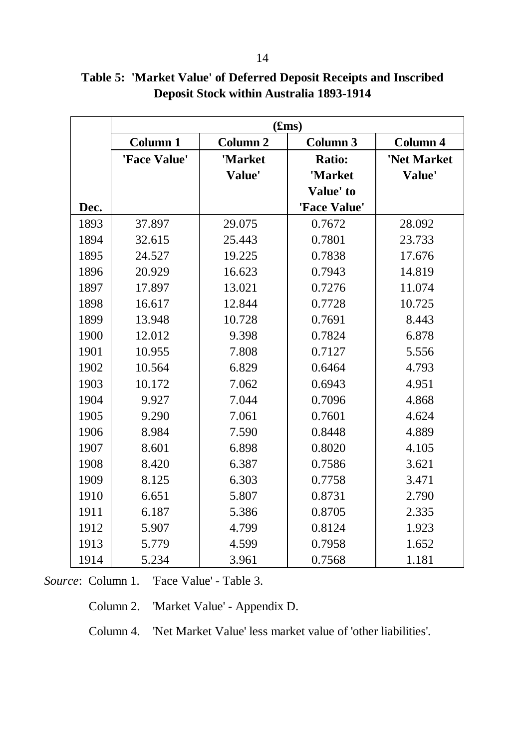|      | (fims)          |                 |                 |                 |  |  |  |  |  |  |  |  |
|------|-----------------|-----------------|-----------------|-----------------|--|--|--|--|--|--|--|--|
|      | <b>Column 1</b> | <b>Column 2</b> | <b>Column 3</b> | <b>Column 4</b> |  |  |  |  |  |  |  |  |
|      | 'Face Value'    | 'Market         | <b>Ratio:</b>   | 'Net Market     |  |  |  |  |  |  |  |  |
|      |                 | Value'          | 'Market         | Value'          |  |  |  |  |  |  |  |  |
|      |                 |                 | Value' to       |                 |  |  |  |  |  |  |  |  |
| Dec. |                 |                 | 'Face Value'    |                 |  |  |  |  |  |  |  |  |
| 1893 | 37.897          | 29.075          | 0.7672          | 28.092          |  |  |  |  |  |  |  |  |
| 1894 | 32.615          | 25.443          | 0.7801          | 23.733          |  |  |  |  |  |  |  |  |
| 1895 | 24.527          | 19.225          | 0.7838          | 17.676          |  |  |  |  |  |  |  |  |
| 1896 | 20.929          | 16.623          | 0.7943          | 14.819          |  |  |  |  |  |  |  |  |
| 1897 | 17.897          | 13.021          | 0.7276          | 11.074          |  |  |  |  |  |  |  |  |
| 1898 | 16.617          | 12.844          | 0.7728          | 10.725          |  |  |  |  |  |  |  |  |
| 1899 | 13.948          | 10.728          | 0.7691          | 8.443           |  |  |  |  |  |  |  |  |
| 1900 | 12.012          | 9.398           | 0.7824          | 6.878           |  |  |  |  |  |  |  |  |
| 1901 | 10.955          | 7.808           | 0.7127          | 5.556           |  |  |  |  |  |  |  |  |
| 1902 | 10.564          | 6.829           | 0.6464          | 4.793           |  |  |  |  |  |  |  |  |
| 1903 | 10.172          | 7.062           | 0.6943          | 4.951           |  |  |  |  |  |  |  |  |
| 1904 | 9.927           | 7.044           | 0.7096          | 4.868           |  |  |  |  |  |  |  |  |
| 1905 | 9.290           | 7.061           | 0.7601          | 4.624           |  |  |  |  |  |  |  |  |
| 1906 | 8.984           | 7.590           | 0.8448          | 4.889           |  |  |  |  |  |  |  |  |
| 1907 | 8.601           | 6.898           | 0.8020          | 4.105           |  |  |  |  |  |  |  |  |
| 1908 | 8.420           | 6.387           | 0.7586          | 3.621           |  |  |  |  |  |  |  |  |
| 1909 | 8.125           | 6.303           | 0.7758          | 3.471           |  |  |  |  |  |  |  |  |
| 1910 | 6.651           | 5.807           | 0.8731          | 2.790           |  |  |  |  |  |  |  |  |
| 1911 | 6.187           | 5.386           | 0.8705          | 2.335           |  |  |  |  |  |  |  |  |
| 1912 | 5.907           | 4.799           | 0.8124          | 1.923           |  |  |  |  |  |  |  |  |
| 1913 | 5.779           | 4.599           | 0.7958          | 1.652           |  |  |  |  |  |  |  |  |
| 1914 | 5.234           | 3.961           | 0.7568          | 1.181           |  |  |  |  |  |  |  |  |

**Table 5: 'Market Value' of Deferred Deposit Receipts and Inscribed Deposit Stock within Australia 1893-1914**

*Source*: Column 1. 'Face Value' - Table 3.

Column 2. 'Market Value' - Appendix D.

Column 4. 'Net Market Value' less market value of 'other liabilities'.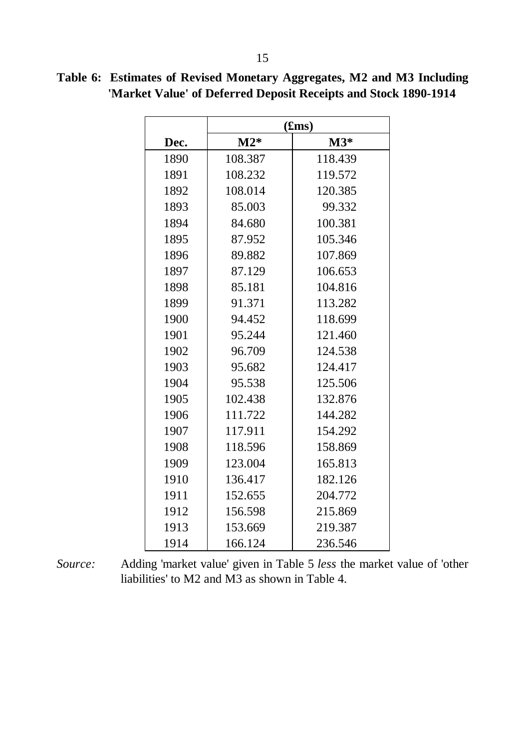|      |         | (fims)  |
|------|---------|---------|
| Dec. | $M2*$   | $M3*$   |
| 1890 | 108.387 | 118.439 |
| 1891 | 108.232 | 119.572 |
| 1892 | 108.014 | 120.385 |
| 1893 | 85.003  | 99.332  |
| 1894 | 84.680  | 100.381 |
| 1895 | 87.952  | 105.346 |
| 1896 | 89.882  | 107.869 |
| 1897 | 87.129  | 106.653 |
| 1898 | 85.181  | 104.816 |
| 1899 | 91.371  | 113.282 |
| 1900 | 94.452  | 118.699 |
| 1901 | 95.244  | 121.460 |
| 1902 | 96.709  | 124.538 |
| 1903 | 95.682  | 124.417 |
| 1904 | 95.538  | 125.506 |
| 1905 | 102.438 | 132.876 |
| 1906 | 111.722 | 144.282 |
| 1907 | 117.911 | 154.292 |
| 1908 | 118.596 | 158.869 |
| 1909 | 123.004 | 165.813 |
| 1910 | 136.417 | 182.126 |
| 1911 | 152.655 | 204.772 |
| 1912 | 156.598 | 215.869 |
| 1913 | 153.669 | 219.387 |
| 1914 | 166.124 | 236.546 |

**Table 6: Estimates of Revised Monetary Aggregates, M2 and M3 Including 'Market Value' of Deferred Deposit Receipts and Stock 1890-1914**

*Source:* Adding 'market value' given in Table 5 *less* the market value of 'other liabilities' to M2 and M3 as shown in Table 4.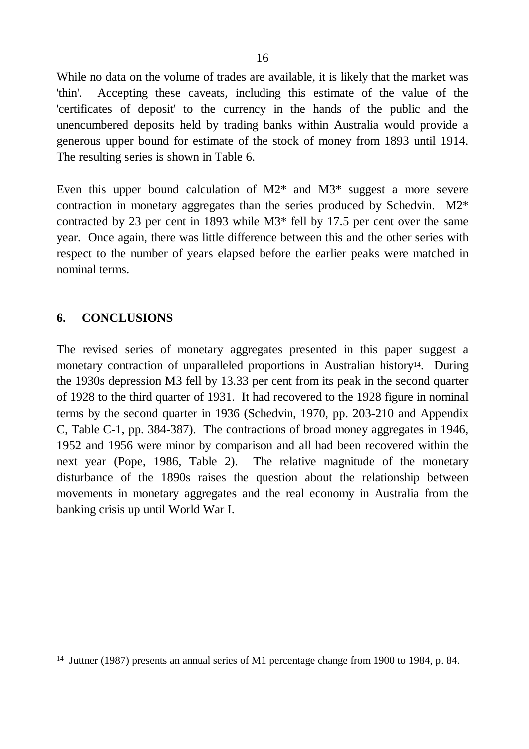While no data on the volume of trades are available, it is likely that the market was 'thin'. Accepting these caveats, including this estimate of the value of the 'certificates of deposit' to the currency in the hands of the public and the unencumbered deposits held by trading banks within Australia would provide a generous upper bound for estimate of the stock of money from 1893 until 1914. The resulting series is shown in Table 6.

Even this upper bound calculation of  $M2^*$  and  $M3^*$  suggest a more severe contraction in monetary aggregates than the series produced by Schedvin. M2\* contracted by 23 per cent in 1893 while M3\* fell by 17.5 per cent over the same year. Once again, there was little difference between this and the other series with respect to the number of years elapsed before the earlier peaks were matched in nominal terms.

### **6. CONCLUSIONS**

 $\overline{a}$ 

The revised series of monetary aggregates presented in this paper suggest a monetary contraction of unparalleled proportions in Australian history<sup>14</sup>. During the 1930s depression M3 fell by 13.33 per cent from its peak in the second quarter of 1928 to the third quarter of 1931. It had recovered to the 1928 figure in nominal terms by the second quarter in 1936 (Schedvin, 1970, pp. 203-210 and Appendix C, Table C-1, pp. 384-387). The contractions of broad money aggregates in 1946, 1952 and 1956 were minor by comparison and all had been recovered within the next year (Pope, 1986, Table 2). The relative magnitude of the monetary disturbance of the 1890s raises the question about the relationship between movements in monetary aggregates and the real economy in Australia from the banking crisis up until World War I.

<sup>14</sup> Juttner (1987) presents an annual series of M1 percentage change from 1900 to 1984, p. 84.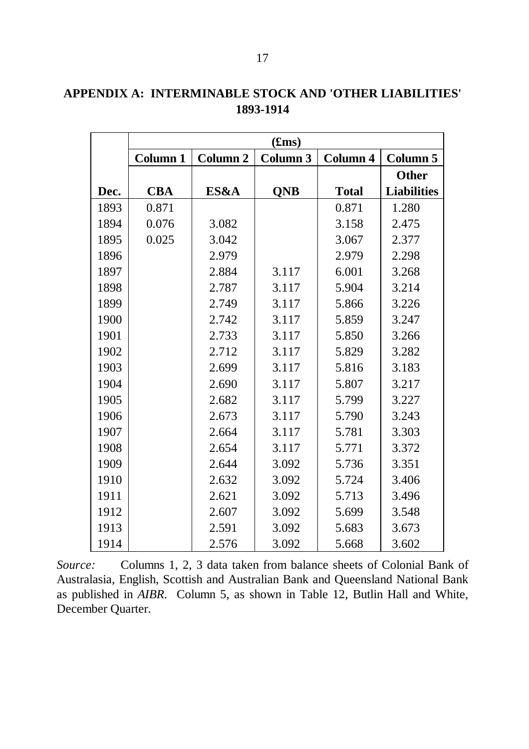|      |                 | (fims)              |            |                 |                    |  |  |  |  |  |  |  |  |
|------|-----------------|---------------------|------------|-----------------|--------------------|--|--|--|--|--|--|--|--|
|      | <b>Column 1</b> | Column <sub>2</sub> | Column 3   | <b>Column 4</b> | <b>Column 5</b>    |  |  |  |  |  |  |  |  |
|      |                 |                     |            |                 | <b>Other</b>       |  |  |  |  |  |  |  |  |
| Dec. | <b>CBA</b>      | ES&A                | <b>QNB</b> | <b>Total</b>    | <b>Liabilities</b> |  |  |  |  |  |  |  |  |
| 1893 | 0.871           |                     |            | 0.871           | 1.280              |  |  |  |  |  |  |  |  |
| 1894 | 0.076           | 3.082               |            | 3.158           | 2.475              |  |  |  |  |  |  |  |  |
| 1895 | 0.025           | 3.042               |            | 3.067           | 2.377              |  |  |  |  |  |  |  |  |
| 1896 |                 | 2.979               |            | 2.979           | 2.298              |  |  |  |  |  |  |  |  |
| 1897 |                 | 2.884               | 3.117      | 6.001           | 3.268              |  |  |  |  |  |  |  |  |
| 1898 |                 | 2.787               | 3.117      | 5.904           | 3.214              |  |  |  |  |  |  |  |  |
| 1899 |                 | 2.749               | 3.117      | 5.866           | 3.226              |  |  |  |  |  |  |  |  |
| 1900 |                 | 2.742               | 3.117      | 5.859           | 3.247              |  |  |  |  |  |  |  |  |
| 1901 |                 | 2.733               | 3.117      | 5.850           | 3.266              |  |  |  |  |  |  |  |  |
| 1902 |                 | 2.712               | 3.117      | 5.829           | 3.282              |  |  |  |  |  |  |  |  |
| 1903 |                 | 2.699               | 3.117      | 5.816           | 3.183              |  |  |  |  |  |  |  |  |
| 1904 |                 | 2.690               | 3.117      | 5.807           | 3.217              |  |  |  |  |  |  |  |  |
| 1905 |                 | 2.682               | 3.117      | 5.799           | 3.227              |  |  |  |  |  |  |  |  |
| 1906 |                 | 2.673               | 3.117      | 5.790           | 3.243              |  |  |  |  |  |  |  |  |
| 1907 |                 | 2.664               | 3.117      | 5.781           | 3.303              |  |  |  |  |  |  |  |  |
| 1908 |                 | 2.654               | 3.117      | 5.771           | 3.372              |  |  |  |  |  |  |  |  |
| 1909 |                 | 2.644               | 3.092      | 5.736           | 3.351              |  |  |  |  |  |  |  |  |
| 1910 |                 | 2.632               | 3.092      | 5.724           | 3.406              |  |  |  |  |  |  |  |  |
| 1911 |                 | 2.621               | 3.092      | 5.713           | 3.496              |  |  |  |  |  |  |  |  |
| 1912 |                 | 2.607               | 3.092      | 5.699           | 3.548              |  |  |  |  |  |  |  |  |
| 1913 |                 | 2.591               | 3.092      | 5.683           | 3.673              |  |  |  |  |  |  |  |  |
| 1914 |                 | 2.576               | 3.092      | 5.668           | 3.602              |  |  |  |  |  |  |  |  |

# **APPENDIX A: INTERMINABLE STOCK AND 'OTHER LIABILITIES' 1893-1914**

*Source:* Columns 1, 2, 3 data taken from balance sheets of Colonial Bank of Australasia, English, Scottish and Australian Bank and Queensland National Bank as published in *AIBR*. Column 5, as shown in Table 12, Butlin Hall and White, December Quarter.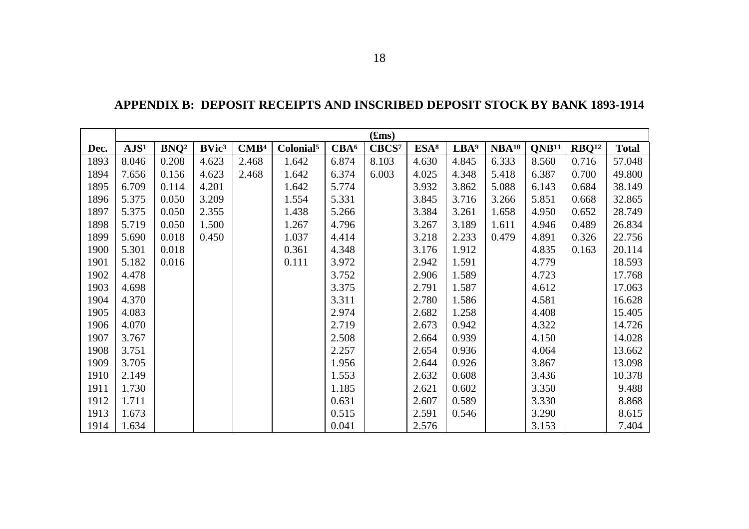|      |                  |                  |                   |                  |                       |                  | (fims)            |                  |                  |                   |                   |                   |              |
|------|------------------|------------------|-------------------|------------------|-----------------------|------------------|-------------------|------------------|------------------|-------------------|-------------------|-------------------|--------------|
| Dec. | AJS <sup>1</sup> | BNO <sup>2</sup> | BVic <sup>3</sup> | $\mathbf{CMB}^4$ | Colonial <sup>5</sup> | CBA <sup>6</sup> | CBCS <sup>7</sup> | ESA <sup>8</sup> | LBA <sup>9</sup> | NBA <sup>10</sup> | QNB <sup>11</sup> | RBQ <sup>12</sup> | <b>Total</b> |
| 1893 | 8.046            | 0.208            | 4.623             | 2.468            | 1.642                 | 6.874            | 8.103             | 4.630            | 4.845            | 6.333             | 8.560             | 0.716             | 57.048       |
| 1894 | 7.656            | 0.156            | 4.623             | 2.468            | 1.642                 | 6.374            | 6.003             | 4.025            | 4.348            | 5.418             | 6.387             | 0.700             | 49.800       |
| 1895 | 6.709            | 0.114            | 4.201             |                  | 1.642                 | 5.774            |                   | 3.932            | 3.862            | 5.088             | 6.143             | 0.684             | 38.149       |
| 1896 | 5.375            | 0.050            | 3.209             |                  | 1.554                 | 5.331            |                   | 3.845            | 3.716            | 3.266             | 5.851             | 0.668             | 32.865       |
| 1897 | 5.375            | 0.050            | 2.355             |                  | 1.438                 | 5.266            |                   | 3.384            | 3.261            | 1.658             | 4.950             | 0.652             | 28.749       |
| 1898 | 5.719            | 0.050            | 1.500             |                  | 1.267                 | 4.796            |                   | 3.267            | 3.189            | 1.611             | 4.946             | 0.489             | 26.834       |
| 1899 | 5.690            | 0.018            | 0.450             |                  | 1.037                 | 4.414            |                   | 3.218            | 2.233            | 0.479             | 4.891             | 0.326             | 22.756       |
| 1900 | 5.301            | 0.018            |                   |                  | 0.361                 | 4.348            |                   | 3.176            | 1.912            |                   | 4.835             | 0.163             | 20.114       |
| 1901 | 5.182            | 0.016            |                   |                  | 0.111                 | 3.972            |                   | 2.942            | 1.591            |                   | 4.779             |                   | 18.593       |
| 1902 | 4.478            |                  |                   |                  |                       | 3.752            |                   | 2.906            | 1.589            |                   | 4.723             |                   | 17.768       |
| 1903 | 4.698            |                  |                   |                  |                       | 3.375            |                   | 2.791            | 1.587            |                   | 4.612             |                   | 17.063       |
| 1904 | 4.370            |                  |                   |                  |                       | 3.311            |                   | 2.780            | 1.586            |                   | 4.581             |                   | 16.628       |
| 1905 | 4.083            |                  |                   |                  |                       | 2.974            |                   | 2.682            | 1.258            |                   | 4.408             |                   | 15.405       |
| 1906 | 4.070            |                  |                   |                  |                       | 2.719            |                   | 2.673            | 0.942            |                   | 4.322             |                   | 14.726       |
| 1907 | 3.767            |                  |                   |                  |                       | 2.508            |                   | 2.664            | 0.939            |                   | 4.150             |                   | 14.028       |
| 1908 | 3.751            |                  |                   |                  |                       | 2.257            |                   | 2.654            | 0.936            |                   | 4.064             |                   | 13.662       |
| 1909 | 3.705            |                  |                   |                  |                       | 1.956            |                   | 2.644            | 0.926            |                   | 3.867             |                   | 13.098       |
| 1910 | 2.149            |                  |                   |                  |                       | 1.553            |                   | 2.632            | 0.608            |                   | 3.436             |                   | 10.378       |
| 1911 | 1.730            |                  |                   |                  |                       | 1.185            |                   | 2.621            | 0.602            |                   | 3.350             |                   | 9.488        |
| 1912 | 1.711            |                  |                   |                  |                       | 0.631            |                   | 2.607            | 0.589            |                   | 3.330             |                   | 8.868        |
| 1913 | 1.673            |                  |                   |                  |                       | 0.515            |                   | 2.591            | 0.546            |                   | 3.290             |                   | 8.615        |
| 1914 | 1.634            |                  |                   |                  |                       | 0.041            |                   | 2.576            |                  |                   | 3.153             |                   | 7.404        |

## **APPENDIX B: DEPOSIT RECEIPTS AND INSCRIBED DEPOSIT STOCK BY BANK 1893-1914**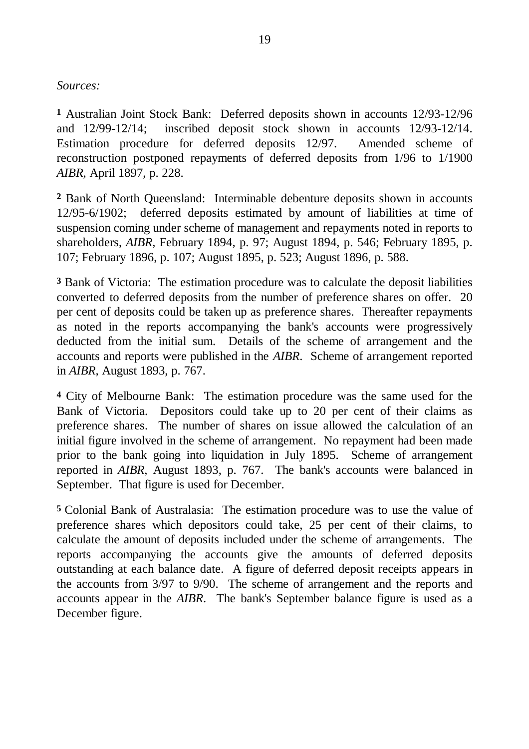#### *Sources:*

**1** Australian Joint Stock Bank: Deferred deposits shown in accounts 12/93-12/96 and 12/99-12/14; inscribed deposit stock shown in accounts 12/93-12/14. Estimation procedure for deferred deposits 12/97. Amended scheme of reconstruction postponed repayments of deferred deposits from 1/96 to 1/1900 *AIBR*, April 1897, p. 228.

**2** Bank of North Queensland: Interminable debenture deposits shown in accounts 12/95-6/1902; deferred deposits estimated by amount of liabilities at time of suspension coming under scheme of management and repayments noted in reports to shareholders, *AIBR*, February 1894, p. 97; August 1894, p. 546; February 1895, p. 107; February 1896, p. 107; August 1895, p. 523; August 1896, p. 588.

**3** Bank of Victoria: The estimation procedure was to calculate the deposit liabilities converted to deferred deposits from the number of preference shares on offer. 20 per cent of deposits could be taken up as preference shares. Thereafter repayments as noted in the reports accompanying the bank's accounts were progressively deducted from the initial sum. Details of the scheme of arrangement and the accounts and reports were published in the *AIBR*. Scheme of arrangement reported in *AIBR,* August 1893, p. 767.

**4** City of Melbourne Bank: The estimation procedure was the same used for the Bank of Victoria. Depositors could take up to 20 per cent of their claims as preference shares. The number of shares on issue allowed the calculation of an initial figure involved in the scheme of arrangement. No repayment had been made prior to the bank going into liquidation in July 1895. Scheme of arrangement reported in *AIBR,* August 1893, p. 767. The bank's accounts were balanced in September. That figure is used for December.

**5** Colonial Bank of Australasia: The estimation procedure was to use the value of preference shares which depositors could take, 25 per cent of their claims, to calculate the amount of deposits included under the scheme of arrangements. The reports accompanying the accounts give the amounts of deferred deposits outstanding at each balance date. A figure of deferred deposit receipts appears in the accounts from 3/97 to 9/90. The scheme of arrangement and the reports and accounts appear in the *AIBR*. The bank's September balance figure is used as a December figure.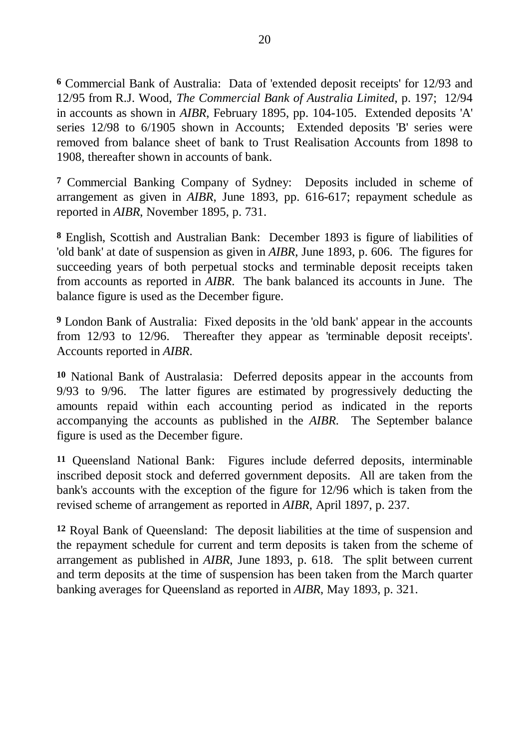**6** Commercial Bank of Australia: Data of 'extended deposit receipts' for 12/93 and 12/95 from R.J. Wood, *The Commercial Bank of Australia Limited*, p. 197; 12/94 in accounts as shown in *AIBR*, February 1895, pp. 104-105. Extended deposits 'A' series 12/98 to 6/1905 shown in Accounts; Extended deposits 'B' series were removed from balance sheet of bank to Trust Realisation Accounts from 1898 to 1908, thereafter shown in accounts of bank.

**7** Commercial Banking Company of Sydney: Deposits included in scheme of arrangement as given in *AIBR*, June 1893, pp. 616-617; repayment schedule as reported in *AIBR*, November 1895, p. 731.

**8** English, Scottish and Australian Bank: December 1893 is figure of liabilities of 'old bank' at date of suspension as given in *AIBR*, June 1893, p. 606. The figures for succeeding years of both perpetual stocks and terminable deposit receipts taken from accounts as reported in *AIBR*. The bank balanced its accounts in June. The balance figure is used as the December figure.

**9** London Bank of Australia: Fixed deposits in the 'old bank' appear in the accounts from 12/93 to 12/96. Thereafter they appear as 'terminable deposit receipts'. Accounts reported in *AIBR*.

**10** National Bank of Australasia: Deferred deposits appear in the accounts from 9/93 to 9/96. The latter figures are estimated by progressively deducting the amounts repaid within each accounting period as indicated in the reports accompanying the accounts as published in the *AIBR*. The September balance figure is used as the December figure.

**11** Queensland National Bank: Figures include deferred deposits, interminable inscribed deposit stock and deferred government deposits. All are taken from the bank's accounts with the exception of the figure for 12/96 which is taken from the revised scheme of arrangement as reported in *AIBR*, April 1897, p. 237.

**12** Royal Bank of Queensland: The deposit liabilities at the time of suspension and the repayment schedule for current and term deposits is taken from the scheme of arrangement as published in *AIBR*, June 1893, p. 618. The split between current and term deposits at the time of suspension has been taken from the March quarter banking averages for Queensland as reported in *AIBR*, May 1893, p. 321.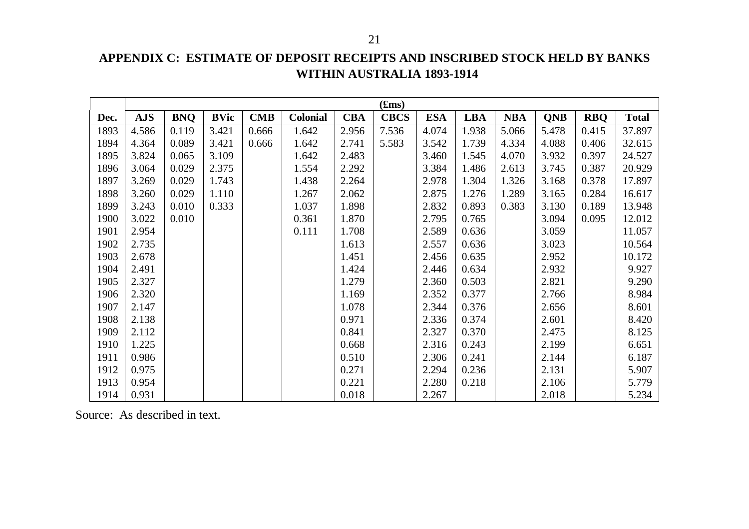#### 21

# **APPENDIX C: ESTIMATE OF DEPOSIT RECEIPTS AND INSCRIBED STOCK HELD BY BANKS WITHIN AUSTRALIA 1893-1914**

|      |            |            |             |            |                 |            | (fims)      |            |            |            |            |            |              |
|------|------------|------------|-------------|------------|-----------------|------------|-------------|------------|------------|------------|------------|------------|--------------|
| Dec. | <b>AJS</b> | <b>BNQ</b> | <b>BVic</b> | <b>CMB</b> | <b>Colonial</b> | <b>CBA</b> | <b>CBCS</b> | <b>ESA</b> | <b>LBA</b> | <b>NBA</b> | <b>QNB</b> | <b>RBQ</b> | <b>Total</b> |
| 1893 | 4.586      | 0.119      | 3.421       | 0.666      | 1.642           | 2.956      | 7.536       | 4.074      | 1.938      | 5.066      | 5.478      | 0.415      | 37.897       |
| 1894 | 4.364      | 0.089      | 3.421       | 0.666      | 1.642           | 2.741      | 5.583       | 3.542      | 1.739      | 4.334      | 4.088      | 0.406      | 32.615       |
| 1895 | 3.824      | 0.065      | 3.109       |            | 1.642           | 2.483      |             | 3.460      | 1.545      | 4.070      | 3.932      | 0.397      | 24.527       |
| 1896 | 3.064      | 0.029      | 2.375       |            | 1.554           | 2.292      |             | 3.384      | 1.486      | 2.613      | 3.745      | 0.387      | 20.929       |
| 1897 | 3.269      | 0.029      | 1.743       |            | 1.438           | 2.264      |             | 2.978      | 1.304      | 1.326      | 3.168      | 0.378      | 17.897       |
| 1898 | 3.260      | 0.029      | 1.110       |            | 1.267           | 2.062      |             | 2.875      | 1.276      | 1.289      | 3.165      | 0.284      | 16.617       |
| 1899 | 3.243      | 0.010      | 0.333       |            | 1.037           | 1.898      |             | 2.832      | 0.893      | 0.383      | 3.130      | 0.189      | 13.948       |
| 1900 | 3.022      | 0.010      |             |            | 0.361           | 1.870      |             | 2.795      | 0.765      |            | 3.094      | 0.095      | 12.012       |
| 1901 | 2.954      |            |             |            | 0.111           | 1.708      |             | 2.589      | 0.636      |            | 3.059      |            | 11.057       |
| 1902 | 2.735      |            |             |            |                 | 1.613      |             | 2.557      | 0.636      |            | 3.023      |            | 10.564       |
| 1903 | 2.678      |            |             |            |                 | 1.451      |             | 2.456      | 0.635      |            | 2.952      |            | 10.172       |
| 1904 | 2.491      |            |             |            |                 | 1.424      |             | 2.446      | 0.634      |            | 2.932      |            | 9.927        |
| 1905 | 2.327      |            |             |            |                 | 1.279      |             | 2.360      | 0.503      |            | 2.821      |            | 9.290        |
| 1906 | 2.320      |            |             |            |                 | 1.169      |             | 2.352      | 0.377      |            | 2.766      |            | 8.984        |
| 1907 | 2.147      |            |             |            |                 | 1.078      |             | 2.344      | 0.376      |            | 2.656      |            | 8.601        |
| 1908 | 2.138      |            |             |            |                 | 0.971      |             | 2.336      | 0.374      |            | 2.601      |            | 8.420        |
| 1909 | 2.112      |            |             |            |                 | 0.841      |             | 2.327      | 0.370      |            | 2.475      |            | 8.125        |
| 1910 | 1.225      |            |             |            |                 | 0.668      |             | 2.316      | 0.243      |            | 2.199      |            | 6.651        |
| 1911 | 0.986      |            |             |            |                 | 0.510      |             | 2.306      | 0.241      |            | 2.144      |            | 6.187        |
| 1912 | 0.975      |            |             |            |                 | 0.271      |             | 2.294      | 0.236      |            | 2.131      |            | 5.907        |
| 1913 | 0.954      |            |             |            |                 | 0.221      |             | 2.280      | 0.218      |            | 2.106      |            | 5.779        |
| 1914 | 0.931      |            |             |            |                 | 0.018      |             | 2.267      |            |            | 2.018      |            | 5.234        |

Source: As described in text.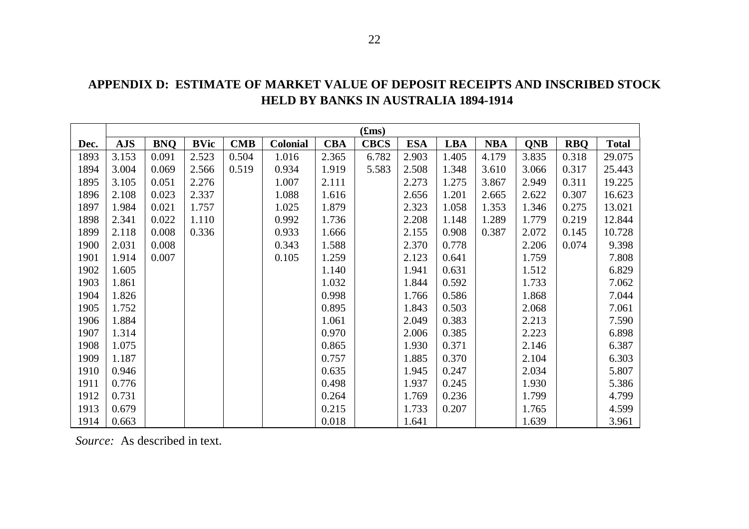|      |            |            |             |            |                 |            | (fims)      |            |            |            |            |            |              |
|------|------------|------------|-------------|------------|-----------------|------------|-------------|------------|------------|------------|------------|------------|--------------|
| Dec. | <b>AJS</b> | <b>BNQ</b> | <b>BVic</b> | <b>CMB</b> | <b>Colonial</b> | <b>CBA</b> | <b>CBCS</b> | <b>ESA</b> | <b>LBA</b> | <b>NBA</b> | <b>QNB</b> | <b>RBQ</b> | <b>Total</b> |
| 1893 | 3.153      | 0.091      | 2.523       | 0.504      | 1.016           | 2.365      | 6.782       | 2.903      | 1.405      | 4.179      | 3.835      | 0.318      | 29.075       |
| 1894 | 3.004      | 0.069      | 2.566       | 0.519      | 0.934           | 1.919      | 5.583       | 2.508      | 1.348      | 3.610      | 3.066      | 0.317      | 25.443       |
| 1895 | 3.105      | 0.051      | 2.276       |            | 1.007           | 2.111      |             | 2.273      | 1.275      | 3.867      | 2.949      | 0.311      | 19.225       |
| 1896 | 2.108      | 0.023      | 2.337       |            | 1.088           | 1.616      |             | 2.656      | 1.201      | 2.665      | 2.622      | 0.307      | 16.623       |
| 1897 | 1.984      | 0.021      | 1.757       |            | 1.025           | 1.879      |             | 2.323      | 1.058      | 1.353      | 1.346      | 0.275      | 13.021       |
| 1898 | 2.341      | 0.022      | 1.110       |            | 0.992           | 1.736      |             | 2.208      | 1.148      | 1.289      | 1.779      | 0.219      | 12.844       |
| 1899 | 2.118      | 0.008      | 0.336       |            | 0.933           | 1.666      |             | 2.155      | 0.908      | 0.387      | 2.072      | 0.145      | 10.728       |
| 1900 | 2.031      | 0.008      |             |            | 0.343           | 1.588      |             | 2.370      | 0.778      |            | 2.206      | 0.074      | 9.398        |
| 1901 | 1.914      | 0.007      |             |            | 0.105           | 1.259      |             | 2.123      | 0.641      |            | 1.759      |            | 7.808        |
| 1902 | 1.605      |            |             |            |                 | 1.140      |             | 1.941      | 0.631      |            | 1.512      |            | 6.829        |
| 1903 | 1.861      |            |             |            |                 | 1.032      |             | 1.844      | 0.592      |            | 1.733      |            | 7.062        |
| 1904 | 1.826      |            |             |            |                 | 0.998      |             | 1.766      | 0.586      |            | 1.868      |            | 7.044        |
| 1905 | 1.752      |            |             |            |                 | 0.895      |             | 1.843      | 0.503      |            | 2.068      |            | 7.061        |
| 1906 | 1.884      |            |             |            |                 | 1.061      |             | 2.049      | 0.383      |            | 2.213      |            | 7.590        |
| 1907 | 1.314      |            |             |            |                 | 0.970      |             | 2.006      | 0.385      |            | 2.223      |            | 6.898        |
| 1908 | 1.075      |            |             |            |                 | 0.865      |             | 1.930      | 0.371      |            | 2.146      |            | 6.387        |
| 1909 | 1.187      |            |             |            |                 | 0.757      |             | 1.885      | 0.370      |            | 2.104      |            | 6.303        |
| 1910 | 0.946      |            |             |            |                 | 0.635      |             | 1.945      | 0.247      |            | 2.034      |            | 5.807        |
| 1911 | 0.776      |            |             |            |                 | 0.498      |             | 1.937      | 0.245      |            | 1.930      |            | 5.386        |
| 1912 | 0.731      |            |             |            |                 | 0.264      |             | 1.769      | 0.236      |            | 1.799      |            | 4.799        |
| 1913 | 0.679      |            |             |            |                 | 0.215      |             | 1.733      | 0.207      |            | 1.765      |            | 4.599        |
| 1914 | 0.663      |            |             |            |                 | 0.018      |             | 1.641      |            |            | 1.639      |            | 3.961        |

**APPENDIX D: ESTIMATE OF MARKET VALUE OF DEPOSIT RECEIPTS AND INSCRIBED STOCK HELD BY BANKS IN AUSTRALIA 1894-1914**

*Source:* As described in text.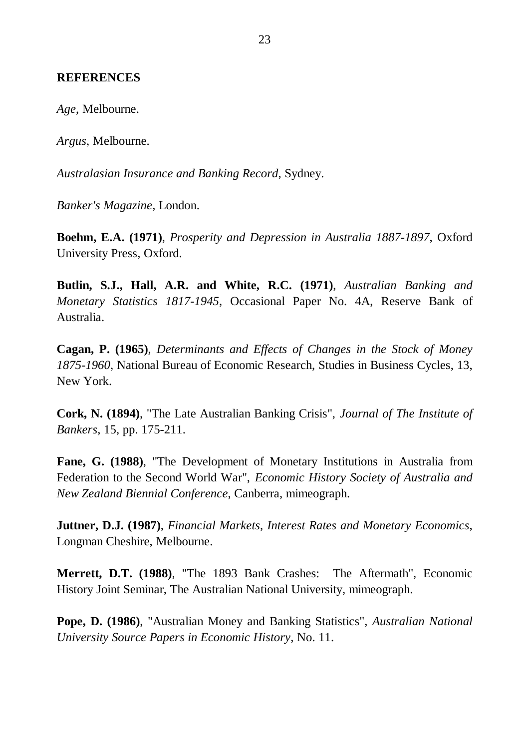#### **REFERENCES**

*Age*, Melbourne.

*Argus*, Melbourne.

*Australasian Insurance and Banking Record*, Sydney.

*Banker's Magazine*, London.

**Boehm, E.A. (1971)**, *Prosperity and Depression in Australia 1887-1897*, Oxford University Press, Oxford.

**Butlin, S.J., Hall, A.R. and White, R.C. (1971)**, *Australian Banking and Monetary Statistics 1817-1945*, Occasional Paper No. 4A, Reserve Bank of Australia.

**Cagan, P. (1965)**, *Determinants and Effects of Changes in the Stock of Money 1875-1960*, National Bureau of Economic Research, Studies in Business Cycles, 13, New York.

**Cork, N. (1894)**, "The Late Australian Banking Crisis", *Journal of The Institute of Bankers*, 15, pp. 175-211.

**Fane, G. (1988)**, "The Development of Monetary Institutions in Australia from Federation to the Second World War", *Economic History Society of Australia and New Zealand Biennial Conference*, Canberra, mimeograph.

**Juttner, D.J. (1987)**, *Financial Markets, Interest Rates and Monetary Economics*, Longman Cheshire, Melbourne.

**Merrett, D.T. (1988)**, "The 1893 Bank Crashes: The Aftermath", Economic History Joint Seminar, The Australian National University, mimeograph.

**Pope, D. (1986)**, "Australian Money and Banking Statistics", *Australian National University Source Papers in Economic History*, No. 11.